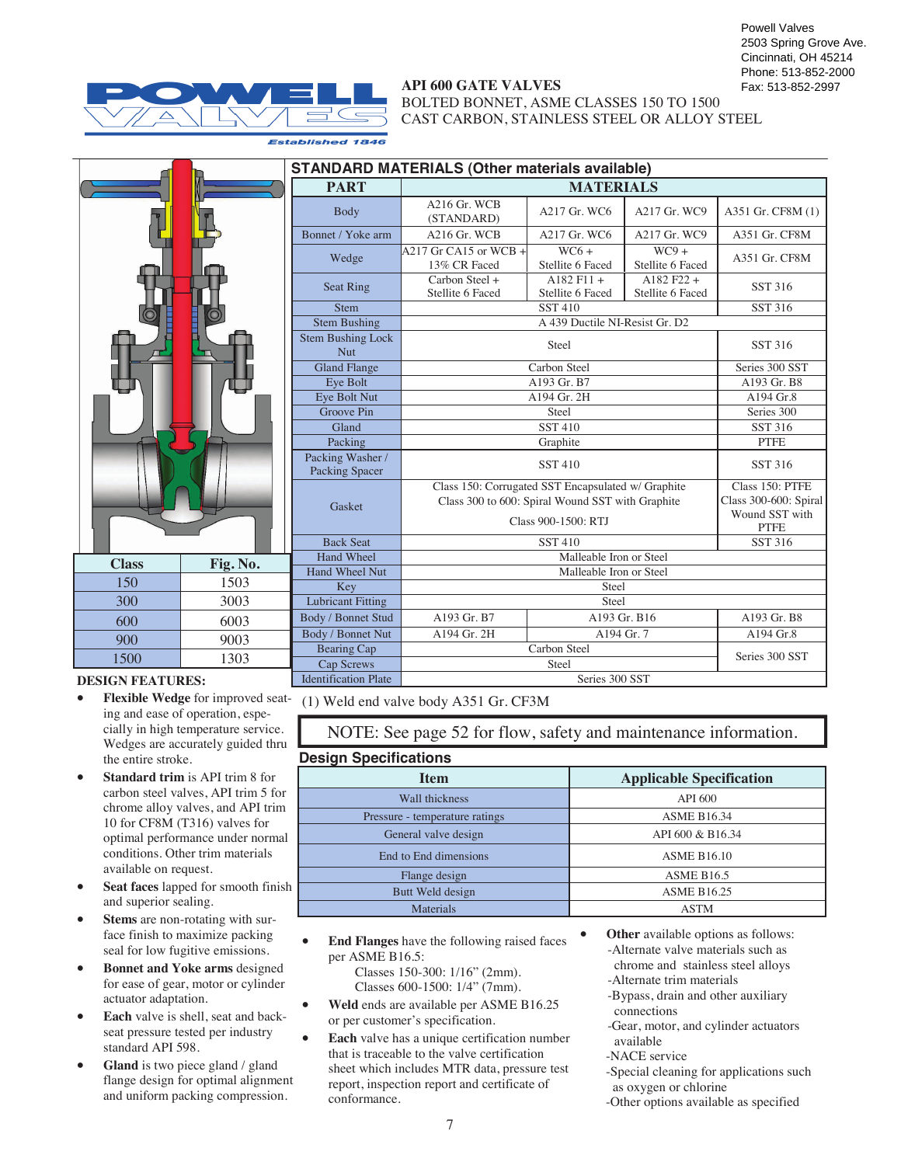

## **API 600 GATE VALVES**

BOLTED BONNET, ASME CLASSES 150 TO 1500 CAST CARBON, STAINLESS STEEL OR ALLOY STEEL

| 1503 |          |
|------|----------|
| 3003 |          |
| 6003 |          |
| 9003 |          |
| 1303 |          |
|      | Fig. No. |

### **DESIGN FEATURES:**

- ing and ease of operation, especially in high temperature service. Wedges are accurately guided thru the entire stroke.
- **Standard trim** is API trim 8 for carbon steel valves, API trim 5 for chrome alloy valves, and API trim 10 for CF8M (T316) valves for optimal performance under normal conditions. Other trim materials available on request.
- **Seat faces** lapped for smooth finish and superior sealing.
- Stems are non-rotating with surface finish to maximize packing seal for low fugitive emissions.
- **Bonnet and Yoke arms** designed for ease of gear, motor or cylinder actuator adaptation.
- **Each** valve is shell, seat and backseat pressure tested per industry standard API 598.
- Gland is two piece gland / gland flange design for optimal alignment and uniform packing compression.

| <b>STANDARD MATERIALS (Other materials available)</b> |                                         |                                                                                                                               |                                  |                   |  |  |  |  |  |  |  |  |  |
|-------------------------------------------------------|-----------------------------------------|-------------------------------------------------------------------------------------------------------------------------------|----------------------------------|-------------------|--|--|--|--|--|--|--|--|--|
| <b>PART</b>                                           | <b>MATERIALS</b>                        |                                                                                                                               |                                  |                   |  |  |  |  |  |  |  |  |  |
| <b>Body</b>                                           | $A216$ Gr. WCB<br>(STANDARD)            | A217 Gr. WC6                                                                                                                  | A217 Gr. WC9                     | A351 Gr. CF8M (1) |  |  |  |  |  |  |  |  |  |
| Bonnet / Yoke arm                                     | $A216$ Gr. WCB                          | A217 Gr. WC6                                                                                                                  | A217 Gr. WC9                     | A351 Gr. CF8M     |  |  |  |  |  |  |  |  |  |
| Wedge                                                 | $A217$ Gr CA15 or WCB +<br>13% CR Faced | $WC6+$<br>Stellite 6 Faced                                                                                                    | $WC9 +$<br>Stellite 6 Faced      |                   |  |  |  |  |  |  |  |  |  |
| Seat Ring                                             | Carbon Steel +<br>Stellite 6 Faced      | $A182$ F11 +<br>Stellite 6 Faced                                                                                              | $A182 F22 +$<br>Stellite 6 Faced | <b>SST 316</b>    |  |  |  |  |  |  |  |  |  |
| <b>Stem</b>                                           |                                         | <b>SST 410</b>                                                                                                                |                                  | SST 316           |  |  |  |  |  |  |  |  |  |
| <b>Stem Bushing</b>                                   |                                         | A 439 Ductile NI-Resist Gr. D2                                                                                                |                                  |                   |  |  |  |  |  |  |  |  |  |
| <b>Stem Bushing Lock</b><br><b>Nut</b>                |                                         | SST 316                                                                                                                       |                                  |                   |  |  |  |  |  |  |  |  |  |
| <b>Gland Flange</b>                                   |                                         | Carbon Steel                                                                                                                  |                                  |                   |  |  |  |  |  |  |  |  |  |
| Eye Bolt                                              |                                         | A193 Gr. B8                                                                                                                   |                                  |                   |  |  |  |  |  |  |  |  |  |
| Eye Bolt Nut                                          | A194 Gr. 2H                             | A194 Gr.8                                                                                                                     |                                  |                   |  |  |  |  |  |  |  |  |  |
| <b>Groove Pin</b>                                     |                                         | Series 300                                                                                                                    |                                  |                   |  |  |  |  |  |  |  |  |  |
| Gland                                                 |                                         | SST 316                                                                                                                       |                                  |                   |  |  |  |  |  |  |  |  |  |
| Packing                                               |                                         | <b>PTFE</b>                                                                                                                   |                                  |                   |  |  |  |  |  |  |  |  |  |
| Packing Washer /<br>Packing Spacer                    |                                         | <b>SST 410</b>                                                                                                                |                                  | SST 316           |  |  |  |  |  |  |  |  |  |
| Gasket                                                |                                         | Class 150: Corrugated SST Encapsulated w/ Graphite<br>Class 300 to 600: Spiral Wound SST with Graphite<br>Class 900-1500: RTI |                                  |                   |  |  |  |  |  |  |  |  |  |
| <b>Back Seat</b>                                      |                                         | <b>SST 410</b>                                                                                                                |                                  | SST 316           |  |  |  |  |  |  |  |  |  |
| Hand Wheel                                            |                                         | Malleable Iron or Steel                                                                                                       |                                  |                   |  |  |  |  |  |  |  |  |  |
| <b>Hand Wheel Nut</b>                                 |                                         | Malleable Iron or Steel                                                                                                       |                                  |                   |  |  |  |  |  |  |  |  |  |
| Key                                                   | Steel                                   |                                                                                                                               |                                  |                   |  |  |  |  |  |  |  |  |  |
| <b>Lubricant Fitting</b>                              |                                         |                                                                                                                               |                                  |                   |  |  |  |  |  |  |  |  |  |
| Body / Bonnet Stud                                    | A193 Gr. B7                             | A193 Gr. B16                                                                                                                  |                                  | A193 Gr. B8       |  |  |  |  |  |  |  |  |  |
| Body / Bonnet Nut                                     | A194 Gr. 2H                             | A194 Gr. 7                                                                                                                    |                                  | A194 Gr.8         |  |  |  |  |  |  |  |  |  |
| <b>Bearing Cap</b>                                    |                                         | Carbon Steel                                                                                                                  |                                  | Series 300 SST    |  |  |  |  |  |  |  |  |  |
| Cap Screws                                            |                                         | Steel                                                                                                                         |                                  |                   |  |  |  |  |  |  |  |  |  |
| <b>Identification Plate</b>                           | Series 300 SST                          |                                                                                                                               |                                  |                   |  |  |  |  |  |  |  |  |  |

• **Flexible Wedge** for improved seat-(1) Weld end valve body A351 Gr. CF3M

NOTE: See page 52 for flow, safety and maintenance information.

## **Design Specifications**

| <b>Item</b>                    | <b>Applicable Specification</b> |
|--------------------------------|---------------------------------|
| Wall thickness                 | <b>API 600</b>                  |
| Pressure - temperature ratings | <b>ASME B16.34</b>              |
| General valve design           | API 600 & B16.34                |
| End to End dimensions          | <b>ASME B16.10</b>              |
| Flange design                  | <b>ASME B16.5</b>               |
| Butt Weld design               | <b>ASME B16.25</b>              |
| <b>Materials</b>               | <b>ASTM</b>                     |

• **End Flanges** have the following raised faces per ASME B16.5:

 Classes 150-300: 1/16" (2mm). Classes 600-1500: 1/4" (7mm).

• **Weld** ends are available per ASME B16.25 or per customer's specification.

**Each** valve has a unique certification number that is traceable to the valve certification sheet which includes MTR data, pressure test report, inspection report and certificate of conformance.

- **Other** available options as follows: -Alternate valve materials such as chrome and stainless steel alloys -Alternate trim materials
	- -Bypass, drain and other auxiliary
	- connections
	- -Gear, motor, and cylinder actuators available
	- -NACE service

-Special cleaning for applications such as oxygen or chlorine

-Other options available as specified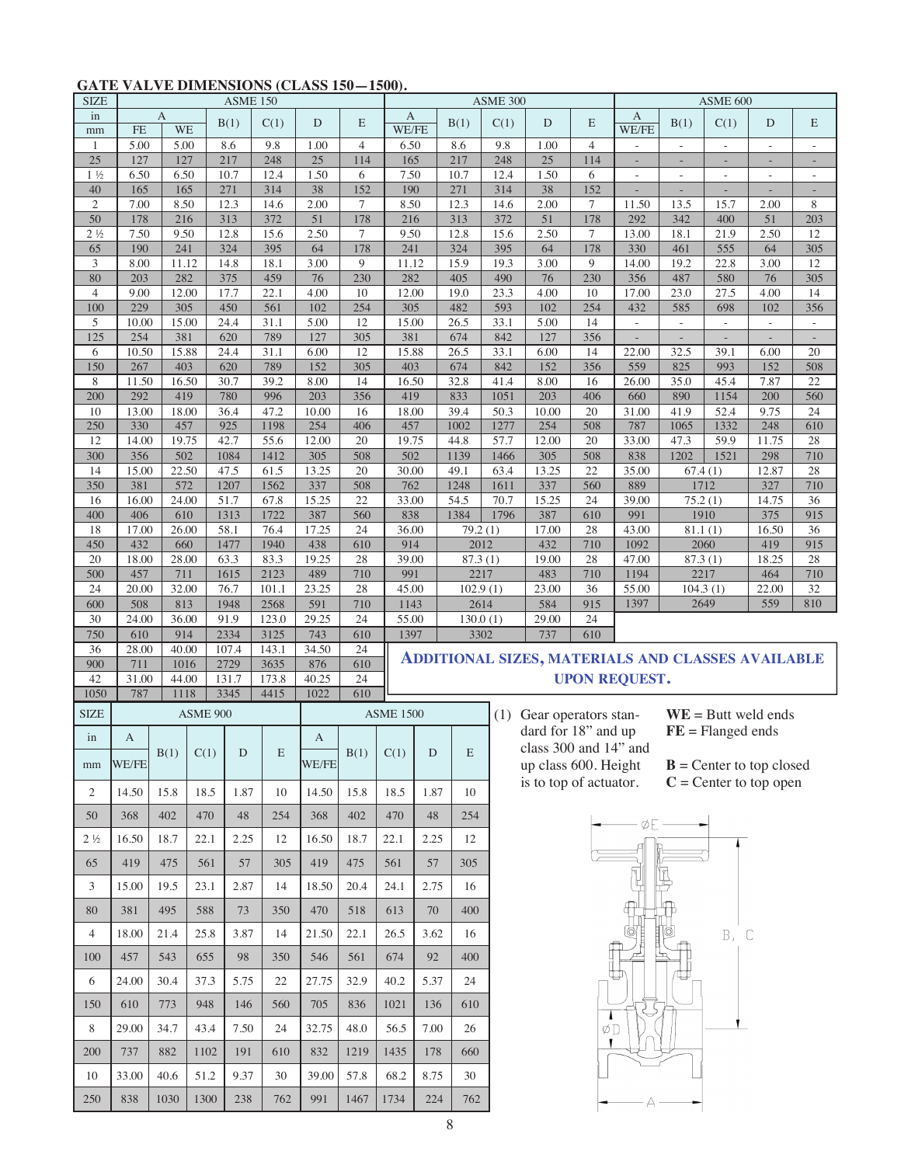# **GATE VALVE DIMENSIONS (CLASS 150—1500).**

| <b>SIZE</b>                   | <b>ASME 150</b> |                |                 |               |               |                 |                |                  | ASME 300    |                    |                                                                                                                   |                                                          |                |                          | <b>ASME 600</b>                  |                                  |                          |                          |  |  |
|-------------------------------|-----------------|----------------|-----------------|---------------|---------------|-----------------|----------------|------------------|-------------|--------------------|-------------------------------------------------------------------------------------------------------------------|----------------------------------------------------------|----------------|--------------------------|----------------------------------|----------------------------------|--------------------------|--------------------------|--|--|
| in<br>mm                      | <b>FE</b>       | A<br><b>WE</b> |                 | B(1)          | C(1)          | $\mathbf D$     | E              | А<br>WE/FE       |             | B(1)               | C(1)                                                                                                              | D                                                        | E              | А<br>WE/FE               | B(1)                             | C(1)                             | D                        | E                        |  |  |
| $\mathbf{1}$                  | 5.00            | 5.00           |                 | 8.6           | 9.8           | 1.00            | $\overline{4}$ | 6.50             |             | 8.6                | 9.8                                                                                                               | 1.00                                                     | $\overline{4}$ |                          |                                  |                                  |                          |                          |  |  |
| $25\,$                        | 127             | 127            |                 | 217           | 248           | 25              | 114            | 165              |             | 217                | 248                                                                                                               | $25\,$                                                   | 114            |                          |                                  | L,                               |                          |                          |  |  |
| $1\frac{1}{2}$                | 6.50            | 6.50           |                 | 10.7          | 12.4          | 1.50            | 6              | 7.50             |             | 10.7               | 12.4                                                                                                              | 1.50                                                     | 6              | $\overline{\phantom{a}}$ | $\overline{\phantom{a}}$         | $\overline{\phantom{a}}$         | $\overline{\phantom{a}}$ | $\overline{\phantom{a}}$ |  |  |
| $40\,$<br>$\mathfrak{2}$      | 165<br>7.00     | 165<br>8.50    |                 | 271<br>12.3   | 314<br>14.6   | 38<br>2.00      | 152            | 190<br>8.50      |             | 271<br>12.3        | 314                                                                                                               | $\overline{38}$<br>2.00                                  | 152<br>$\tau$  | 11.50                    | $\overline{\phantom{a}}$<br>13.5 | $\overline{\phantom{a}}$<br>15.7 | L,<br>2.00               |                          |  |  |
| 50                            | 178             | 216            |                 | 313           | 372           | $\overline{51}$ | $\tau$<br>178  | 216              |             | 313                | 14.6<br>372                                                                                                       | $\overline{51}$                                          | 178            | 292                      | 342                              | 400                              | $\overline{51}$          | 8<br>203                 |  |  |
| $2\frac{1}{2}$                | 7.50            | 9.50           |                 | 12.8          | 15.6          | 2.50            | $\tau$         | 9.50             |             | 12.8               | 15.6                                                                                                              | 2.50                                                     | $\tau$         | 13.00                    | 18.1                             | 21.9                             | 2.50                     | 12                       |  |  |
| 65                            | 190             | 241            |                 | 324           | 395           | 64              | 178            | 241              |             | 324                | 395                                                                                                               | 64                                                       | 178            | 330                      | 461                              | 555                              | 64                       | 305                      |  |  |
| 3                             | 8.00            | 11.12          |                 | 14.8          | 18.1          | 3.00            | 9              | 11.12            |             | 15.9               | 19.3                                                                                                              | 3.00                                                     | 9              | 14.00                    | 19.2                             | 22.8                             | 3.00                     | 12                       |  |  |
| 80                            | 203             | 282            |                 | 375           | 459           | 76              | 230            | 282              |             | 405                | 490                                                                                                               | 76                                                       | 230            | 356                      | 487                              | 580                              | 76                       | 305                      |  |  |
| $\overline{4}$<br>100         | 9.00<br>229     | 12.00<br>305   |                 | 17.7<br>450   | 22.1<br>561   | 4.00<br>102     | 10<br>254      | 12.00<br>305     |             | 19.0<br>482        | 23.3<br>593                                                                                                       | 4.00<br>102                                              | 10<br>254      | 17.00<br>432             | 23.0<br>585                      | 27.5<br>698                      | 4.00<br>102              | 14<br>356                |  |  |
| 5                             | 10.00           | 15.00          |                 | 24.4          | 31.1          | 5.00            | 12             | 15.00            |             | 26.5               | 33.1                                                                                                              | 5.00                                                     | 14             | $\overline{\phantom{a}}$ |                                  |                                  | $\bar{ }$                |                          |  |  |
| 125                           | 254             | 381            |                 | 620           | 789           | 127             | 305            | 381              |             | 674                | 842                                                                                                               | 127                                                      | 356            |                          |                                  |                                  |                          |                          |  |  |
| 6                             | 10.50           | 15.88          |                 | 24.4          | 31.1          | 6.00            | 12             | 15.88            |             | 26.5               | 33.1                                                                                                              | 6.00                                                     | 14             | 22.00                    | 32.5                             | 39.1                             | 6.00                     | 20                       |  |  |
| 150                           | 267             | 403            |                 | 620           | 789           | 152             | 305            | 403              |             | 674                | 842                                                                                                               | 152                                                      | 356            | 559                      | 825                              | 993                              | 152                      | 508                      |  |  |
| 8<br>200                      | 11.50<br>292    | 16.50<br>419   |                 | 30.7<br>780   | 39.2<br>996   | 8.00<br>203     | 14<br>356      | 16.50<br>419     |             | 32.8<br>833        | 41.4<br>1051                                                                                                      | 8.00<br>203                                              | 16<br>406      | 26.00<br>660             | 35.0<br>890                      | 45.4<br>1154                     | 7.87<br>200              | 22<br>560                |  |  |
| 10                            | 13.00           | 18.00          |                 | 36.4          | 47.2          | 10.00           | 16             | 18.00            |             | 39.4               | 50.3                                                                                                              | 10.00                                                    | 20             | 31.00                    | 41.9                             | 52.4                             | 9.75                     | 24                       |  |  |
| 250                           | 330             | 457            |                 | 925           | 1198          | 254             | 406            | 457              |             | 1002               | 1277                                                                                                              | 254                                                      | 508            | 787                      | 1065                             | 1332                             | 248                      | 610                      |  |  |
| 12                            | 14.00           | 19.75          |                 | 42.7          | 55.6          | 12.00           | 20             | 19.75            |             | 44.8               | 57.7                                                                                                              | 12.00                                                    | 20             | 33.00                    | 47.3                             | 59.9                             | 11.75                    | 28                       |  |  |
| 300                           | 356             | 502            |                 | 1084          | 1412          | 305             | 508            | 502              |             | 1139               | 1466                                                                                                              | 305                                                      | 508            | 838                      | 1202                             | 1521                             | 298                      | 710                      |  |  |
| 14<br>350                     | 15.00<br>381    | 22.50<br>572   |                 | 47.5<br>1207  | 61.5<br>1562  | 13.25<br>337    | 20<br>508      | 30.00<br>762     |             | 49.1<br>1248       | 63.4                                                                                                              | 13.25<br>337                                             | 22<br>560      | 35.00<br>889             | 67.4(1)                          | 1712                             | 12.87<br>327             | 28<br>710                |  |  |
| 16                            | 16.00           | 24.00          |                 | 51.7          | 67.8          | 15.25           | 22             | 33.00            |             | 54.5               | 1611<br>70.7                                                                                                      | 15.25                                                    | 24             | 39.00                    | 75.2(1)                          |                                  | 14.75                    | 36                       |  |  |
| 400                           | 406             | 610            |                 | 1313          | 1722          | 387             | 560            | 838              |             | 1384               | 1796                                                                                                              | 387                                                      | 610            | 991                      |                                  | 1910                             | 375                      | 915                      |  |  |
| 18                            | 17.00           | 26.00          |                 | 58.1          | 76.4          | 17.25           | 24             | 36.00            |             | 79.2(1)            |                                                                                                                   | 17.00                                                    | 28             | 43.00                    | 81.1(1)                          |                                  | 16.50                    | 36                       |  |  |
| 450                           | 432             | 660            |                 | 1477          | 1940          | 438             | 610            | 914              |             | 2012               |                                                                                                                   | 710<br>432                                               |                | 1092                     | 2060                             |                                  | 419                      | 915                      |  |  |
| 20                            | 18.00           | 28.00          |                 | 63.3          | 83.3          | 19.25           | 28             | 39.00            |             | 87.3(1)            |                                                                                                                   | 19.00                                                    | 28             | 47.00                    | 87.3(1)                          |                                  | 18.25                    | 28                       |  |  |
| 500<br>24                     | 457<br>20.00    | 711<br>32.00   |                 | 1615<br>76.7  | 2123<br>101.1 | 489<br>23.25    | 710<br>28      | 991<br>45.00     |             | 2217<br>102.9(1)   |                                                                                                                   | 483<br>23.00                                             | 710<br>36      | 1194<br>55.00            | 2217<br>104.3(1)                 |                                  | 464<br>22.00             | 710<br>$\overline{32}$   |  |  |
| 600                           | 508             | 813            |                 | 1948          | 2568          | 591             | 710            | 1143             |             | 2614               |                                                                                                                   | 584                                                      | 915            | 1397                     |                                  | 2649                             | 559                      | 810                      |  |  |
| 30                            | 24.00           | 36.00          |                 | 91.9          | 123.0         | 29.25           | 24             | 55.00            |             | 130.0(1)           |                                                                                                                   | 29.00                                                    | 24             |                          |                                  |                                  |                          |                          |  |  |
| 750                           | 610             | 914            |                 | 2334          | 3125          | 743             | 610            | 1397             |             | 3302               |                                                                                                                   | 737                                                      | 610            |                          |                                  |                                  |                          |                          |  |  |
| 36<br>900                     | 28.00<br>711    | 40.00<br>1016  |                 | 107.4<br>2729 | 143.1<br>3635 | 34.50<br>876    | 24<br>610      |                  |             |                    |                                                                                                                   | <b>ADDITIONAL SIZES, MATERIALS AND CLASSES AVAILABLE</b> |                |                          |                                  |                                  |                          |                          |  |  |
| 42                            | 31.00           | 44.00          |                 | 131.7         | 173.8         | 40.25           | 24             |                  |             |                    |                                                                                                                   |                                                          |                | <b>UPON REQUEST.</b>     |                                  |                                  |                          |                          |  |  |
| 1050                          | 787             | 1118           |                 | 3345          | 4415          | 1022            | 610            |                  |             |                    |                                                                                                                   |                                                          |                |                          |                                  |                                  |                          |                          |  |  |
| <b>SIZE</b>                   |                 |                | <b>ASME 900</b> |               |               |                 |                | <b>ASME 1500</b> |             |                    | (1)                                                                                                               | Gear operators stan-                                     |                |                          |                                  |                                  | $WE = Butt$ weld ends    |                          |  |  |
| in                            | A               |                |                 |               |               | A               |                |                  |             |                    |                                                                                                                   | dard for 18" and up                                      |                |                          |                                  | $FE = Flanged$ ends              |                          |                          |  |  |
|                               |                 | B(1)           | C(1)            | ${\rm D}$     | $\mathbf E$   |                 | B(1)           | C(1)             | $\mathbf D$ | $\mathbf{E}% _{0}$ |                                                                                                                   | class $300$ and $14$ " and                               |                |                          |                                  |                                  |                          |                          |  |  |
| mm                            | WE/FE           |                |                 |               |               | WE/FE           |                |                  |             |                    | up class 600. Height<br>$\mathbf{B}$ = Center to top closed<br>is to top of actuator.<br>$C =$ Center to top open |                                                          |                |                          |                                  |                                  |                          |                          |  |  |
| 2                             | 14.50           | 15.8           | 18.5            | 1.87          | 10            | 14.50           | 15.8           | 18.5             | 1.87        | 10                 |                                                                                                                   |                                                          |                |                          |                                  |                                  |                          |                          |  |  |
| 50                            | 368             | 402            | 470             | 48            | 254           | 368             | 402            | 470              | 48          | 254                |                                                                                                                   |                                                          |                | øF -                     |                                  |                                  |                          |                          |  |  |
| 2 <sup>1</sup> / <sub>2</sub> | 16.50           | 18.7           | 22.1            | 2.25          | 12            | 16.50           | 18.7           | 22.1             | 2.25        | 12                 |                                                                                                                   |                                                          |                |                          |                                  |                                  |                          |                          |  |  |
| 65                            | 419             | 475            | 561             | 57            | 305           | 419             | 475            | 561              | 57          | 305                |                                                                                                                   |                                                          |                |                          |                                  |                                  |                          |                          |  |  |
| 3                             | 15.00           | 19.5           | 23.1            | 2.87          | 14            | 18.50           | 20.4           | 24.1             | 2.75        | 16                 |                                                                                                                   |                                                          |                |                          |                                  |                                  |                          |                          |  |  |
| 80                            | 381             | 495            | 588             | 73            | 350           | 470             | 518            | 613              | 70          | 400                |                                                                                                                   | B,<br>C                                                  |                |                          |                                  |                                  |                          |                          |  |  |
| $\overline{4}$                | 18.00           | 21.4           | 25.8            | 3.87          | 14            | 21.50           | 22.1           | 26.5             | 3.62        | 16                 |                                                                                                                   |                                                          |                |                          |                                  |                                  |                          |                          |  |  |
| 100                           | 457             | 543            | 655             | 98            | 350           | 546             | 561            | 674              | 92          | 400                |                                                                                                                   |                                                          |                |                          |                                  |                                  |                          |                          |  |  |
| 6                             | 24.00           | 30.4           | 37.3            | 5.75          | 22            | 27.75           | 32.9           | 40.2             | 5.37        | 24                 |                                                                                                                   |                                                          |                |                          |                                  |                                  |                          |                          |  |  |
| 150                           | 610             | 773            | 948             | 146           | 560           | 705             | 836            | 1021             | 136         | 610                |                                                                                                                   |                                                          |                |                          |                                  |                                  |                          |                          |  |  |
| 8                             | 29.00           | 34.7           | 43.4            | 7.50          | 24            | 32.75           | 48.0           | 56.5             | 7.00        | 26                 |                                                                                                                   |                                                          | øD             |                          |                                  |                                  |                          |                          |  |  |
| 200                           | 737             | 882            | 1102            | 191           | 610           | 832             | 1219           | 1435             | 178         | 660                |                                                                                                                   |                                                          |                |                          |                                  |                                  |                          |                          |  |  |
| 10                            | 33.00           | 40.6           | 51.2            | 9.37          | 30            | 39.00           | 57.8           | 68.2             | 8.75        | 30                 |                                                                                                                   |                                                          |                |                          |                                  |                                  |                          |                          |  |  |
| 250                           | 838             | 1030           | 1300            | 238           | 762           | 991             | 1467           | 1734             |             | 762                |                                                                                                                   |                                                          |                |                          |                                  |                                  |                          |                          |  |  |
|                               |                 |                |                 |               |               |                 |                |                  | 224         |                    |                                                                                                                   |                                                          |                |                          |                                  |                                  |                          |                          |  |  |